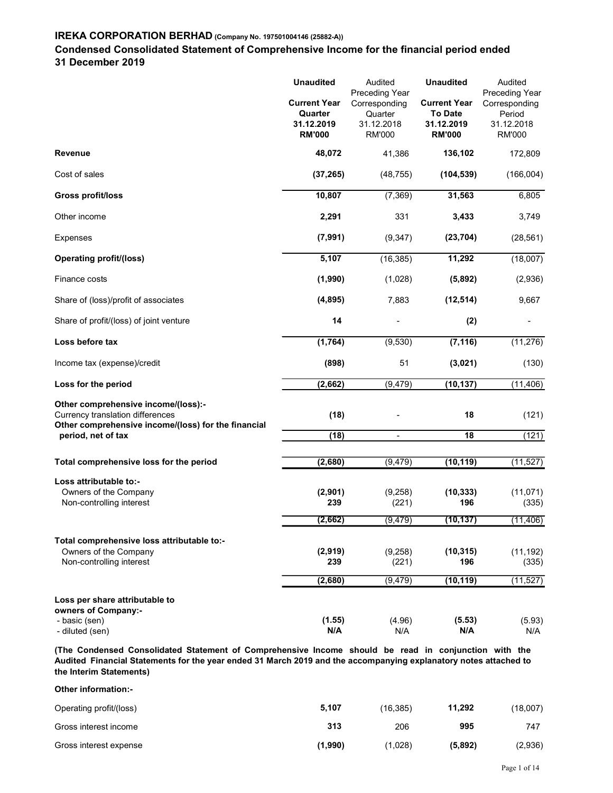## Condensed Consolidated Statement of Comprehensive Income for the financial period ended 31 December 2019

| 31 December 2019                                                                                |                                                                                   | Condensed Consolidated Statement of Comprehensive Income for the financial period ended |                                                                                          |                                                                              |
|-------------------------------------------------------------------------------------------------|-----------------------------------------------------------------------------------|-----------------------------------------------------------------------------------------|------------------------------------------------------------------------------------------|------------------------------------------------------------------------------|
|                                                                                                 | <b>Unaudited</b><br><b>Current Year</b><br>Quarter<br>31.12.2019<br><b>RM'000</b> | Audited<br>Preceding Year<br>Corresponding<br>Quarter<br>31.12.2018<br>RM'000           | <b>Unaudited</b><br><b>Current Year</b><br><b>To Date</b><br>31.12.2019<br><b>RM'000</b> | Audited<br>Preceding Year<br>Corresponding<br>Period<br>31.12.2018<br>RM'000 |
| Revenue                                                                                         | 48,072                                                                            | 41,386                                                                                  | 136,102                                                                                  | 172,809                                                                      |
| Cost of sales                                                                                   | (37, 265)                                                                         | (48, 755)                                                                               | (104, 539)                                                                               | (166,004)                                                                    |
| <b>Gross profit/loss</b>                                                                        | 10,807                                                                            | (7, 369)                                                                                | 31,563                                                                                   | 6,805                                                                        |
| Other income                                                                                    | 2,291                                                                             | 331                                                                                     | 3,433                                                                                    | 3,749                                                                        |
| Expenses                                                                                        | (7, 991)                                                                          | (9, 347)                                                                                | (23, 704)                                                                                | (28, 561)                                                                    |
| <b>Operating profit/(loss)</b>                                                                  | 5,107                                                                             | (16, 385)                                                                               | 11,292                                                                                   | (18,007)                                                                     |
| Finance costs                                                                                   | (1,990)                                                                           | (1,028)                                                                                 | (5,892)                                                                                  | (2,936)                                                                      |
| Share of (loss)/profit of associates                                                            | (4, 895)                                                                          | 7,883                                                                                   | (12, 514)                                                                                | 9,667                                                                        |
| Share of profit/(loss) of joint venture                                                         | 14                                                                                | $\overline{\phantom{a}}$                                                                | (2)                                                                                      | $\blacksquare$                                                               |
| Loss before tax                                                                                 | (1, 764)                                                                          | (9,530)                                                                                 | (7, 116)                                                                                 | (11, 276)                                                                    |
| Income tax (expense)/credit                                                                     | (898)                                                                             | 51                                                                                      | (3,021)                                                                                  | (130)                                                                        |
| Loss for the period                                                                             | (2,662)                                                                           | (9, 479)                                                                                | (10, 137)                                                                                | (11, 406)                                                                    |
| Other comprehensive income/(loss):-                                                             |                                                                                   |                                                                                         |                                                                                          |                                                                              |
| Currency translation differences<br>Other comprehensive income/(loss) for the financial         | (18)                                                                              |                                                                                         | 18                                                                                       | (121)                                                                        |
| period, net of tax                                                                              | (18)                                                                              | $\blacksquare$                                                                          | 18                                                                                       | (121)                                                                        |
| Total comprehensive loss for the period                                                         | (2,680)                                                                           | (9, 479)                                                                                | (10, 119)                                                                                | (11, 527)                                                                    |
| Loss attributable to:-                                                                          |                                                                                   |                                                                                         |                                                                                          |                                                                              |
| Owners of the Company<br>Non-controlling interest                                               | (2,901)<br>239                                                                    | (9,258)<br>(221)                                                                        | (10, 333)<br>196                                                                         | (11,071)<br>(335)                                                            |
|                                                                                                 | (2,662)                                                                           | (9, 479)                                                                                | (10, 137)                                                                                | (11, 406)                                                                    |
| Total comprehensive loss attributable to:-<br>Owners of the Company<br>Non-controlling interest | (2,919)<br>239                                                                    | (9,258)<br>(221)                                                                        | (10, 315)<br>196                                                                         | (11, 192)<br>(335)                                                           |
|                                                                                                 |                                                                                   |                                                                                         |                                                                                          | (11, 527)                                                                    |
|                                                                                                 | (2,680)                                                                           | (9, 479)                                                                                | (10, 119)                                                                                |                                                                              |
| Loss per share attributable to<br>owners of Company:-<br>- basic (sen)<br>- diluted (sen)       | (1.55)<br>N/A                                                                     | (4.96)<br>N/A                                                                           | (5.53)<br>N/A                                                                            | (5.93)<br>N/A                                                                |

(The Condensed Consolidated Statement of Comprehensive Income should be read in conjunction with the Audited Financial Statements for the year ended 31 March 2019 and the accompanying explanatory notes attached to the Interim Statements)

| Other information:-     |         |           |         |          |  |
|-------------------------|---------|-----------|---------|----------|--|
| Operating profit/(loss) | 5,107   | (16, 385) | 11,292  | (18,007) |  |
| Gross interest income   | 313     | 206       | 995     | 747      |  |
| Gross interest expense  | (1,990) | (1,028)   | (5,892) | (2,936)  |  |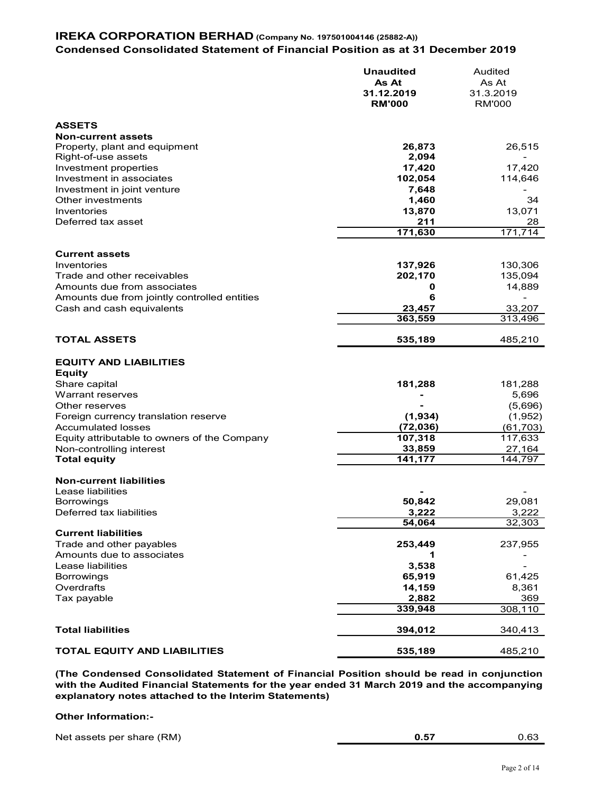## IREKA CORPORATION BERHAD (Company No. 197501004146 (25882-A)) Condensed Consolidated Statement of Financial Position as at 31 December 2019

| As At<br>31.12.2019<br><b>RM'000</b><br>26,873<br>2,094<br>17,420<br>102,054<br>7,648<br>1,460<br>13,870<br>211<br>171,630<br>137,926<br>202,170<br>0<br>6 | As At<br>31.3.2019<br><b>RM'000</b><br>26,515<br>17,420<br>114,646<br>34<br>13,071<br>28<br>$\overline{171,714}$<br>130,306                                                                                                                                                                                            |
|------------------------------------------------------------------------------------------------------------------------------------------------------------|------------------------------------------------------------------------------------------------------------------------------------------------------------------------------------------------------------------------------------------------------------------------------------------------------------------------|
|                                                                                                                                                            |                                                                                                                                                                                                                                                                                                                        |
|                                                                                                                                                            |                                                                                                                                                                                                                                                                                                                        |
|                                                                                                                                                            |                                                                                                                                                                                                                                                                                                                        |
|                                                                                                                                                            |                                                                                                                                                                                                                                                                                                                        |
|                                                                                                                                                            |                                                                                                                                                                                                                                                                                                                        |
|                                                                                                                                                            |                                                                                                                                                                                                                                                                                                                        |
|                                                                                                                                                            |                                                                                                                                                                                                                                                                                                                        |
|                                                                                                                                                            |                                                                                                                                                                                                                                                                                                                        |
|                                                                                                                                                            |                                                                                                                                                                                                                                                                                                                        |
|                                                                                                                                                            |                                                                                                                                                                                                                                                                                                                        |
|                                                                                                                                                            |                                                                                                                                                                                                                                                                                                                        |
|                                                                                                                                                            |                                                                                                                                                                                                                                                                                                                        |
|                                                                                                                                                            |                                                                                                                                                                                                                                                                                                                        |
|                                                                                                                                                            |                                                                                                                                                                                                                                                                                                                        |
|                                                                                                                                                            |                                                                                                                                                                                                                                                                                                                        |
|                                                                                                                                                            | 135,094                                                                                                                                                                                                                                                                                                                |
|                                                                                                                                                            | 14,889                                                                                                                                                                                                                                                                                                                 |
|                                                                                                                                                            |                                                                                                                                                                                                                                                                                                                        |
|                                                                                                                                                            |                                                                                                                                                                                                                                                                                                                        |
| 23,457                                                                                                                                                     | 33,207                                                                                                                                                                                                                                                                                                                 |
| 363,559                                                                                                                                                    | 313,496                                                                                                                                                                                                                                                                                                                |
| 535,189                                                                                                                                                    | 485,210                                                                                                                                                                                                                                                                                                                |
|                                                                                                                                                            |                                                                                                                                                                                                                                                                                                                        |
|                                                                                                                                                            |                                                                                                                                                                                                                                                                                                                        |
|                                                                                                                                                            | 181,288                                                                                                                                                                                                                                                                                                                |
|                                                                                                                                                            | 5,696                                                                                                                                                                                                                                                                                                                  |
|                                                                                                                                                            | (5,696)                                                                                                                                                                                                                                                                                                                |
|                                                                                                                                                            |                                                                                                                                                                                                                                                                                                                        |
|                                                                                                                                                            | (1,952)                                                                                                                                                                                                                                                                                                                |
|                                                                                                                                                            | (61, 703)                                                                                                                                                                                                                                                                                                              |
|                                                                                                                                                            | 117,633                                                                                                                                                                                                                                                                                                                |
| 33,859                                                                                                                                                     | 27,164                                                                                                                                                                                                                                                                                                                 |
| 141,177                                                                                                                                                    | 144,797                                                                                                                                                                                                                                                                                                                |
|                                                                                                                                                            |                                                                                                                                                                                                                                                                                                                        |
|                                                                                                                                                            |                                                                                                                                                                                                                                                                                                                        |
|                                                                                                                                                            | 29,081                                                                                                                                                                                                                                                                                                                 |
|                                                                                                                                                            |                                                                                                                                                                                                                                                                                                                        |
|                                                                                                                                                            | 3,222                                                                                                                                                                                                                                                                                                                  |
|                                                                                                                                                            | 32,303                                                                                                                                                                                                                                                                                                                 |
|                                                                                                                                                            |                                                                                                                                                                                                                                                                                                                        |
|                                                                                                                                                            | 237,955                                                                                                                                                                                                                                                                                                                |
| 1                                                                                                                                                          |                                                                                                                                                                                                                                                                                                                        |
| 3,538                                                                                                                                                      |                                                                                                                                                                                                                                                                                                                        |
|                                                                                                                                                            | 61,425                                                                                                                                                                                                                                                                                                                 |
|                                                                                                                                                            | 8,361                                                                                                                                                                                                                                                                                                                  |
|                                                                                                                                                            |                                                                                                                                                                                                                                                                                                                        |
|                                                                                                                                                            | 369                                                                                                                                                                                                                                                                                                                    |
|                                                                                                                                                            | 308,110                                                                                                                                                                                                                                                                                                                |
| 394,012                                                                                                                                                    | 340,413                                                                                                                                                                                                                                                                                                                |
| 535,189                                                                                                                                                    | 485,210                                                                                                                                                                                                                                                                                                                |
|                                                                                                                                                            | 181,288<br>(1,934)<br>(72, 036)<br>107,318<br>50,842<br>3,222<br>54,064<br>253,449<br>65,919<br>14,159<br>2,882<br>339,948<br>(The Condensed Consolidated Statement of Financial Position should be read in conjunction<br>with the Audited Financial Statements for the year ended 31 March 2019 and the accompanying |

#### Other Information:-

| Net assets per share (RM)<br>--<br>$\sim$<br>U.O3<br><b>V.J.</b> |
|------------------------------------------------------------------|
|------------------------------------------------------------------|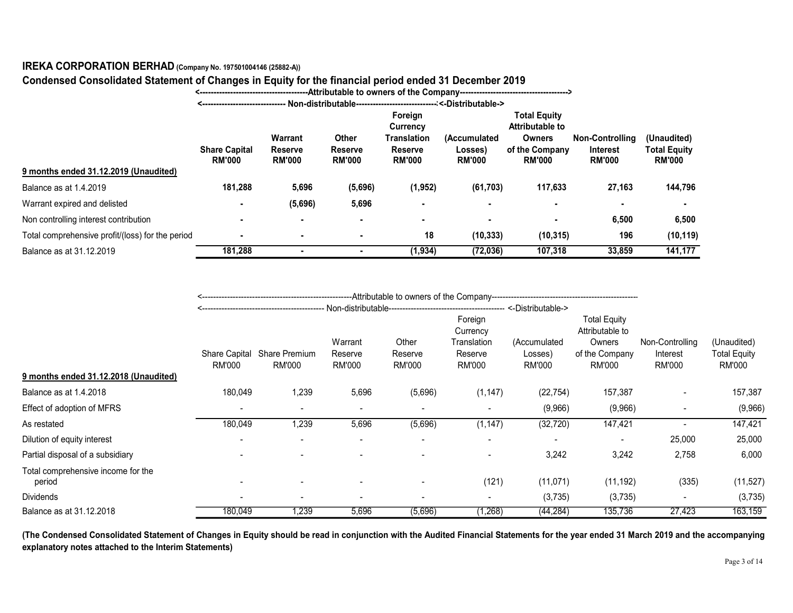# Condensed Consolidated Statement of Changes in Equity for the financial period ended 31 December 2019

| <------------------------------ Non-distributable---------------------------------<-Distributable-><br><b>Total Equity</b><br>Foreign<br><b>Attributable to</b><br><b>Currency</b><br>Warrant<br>Other<br>(Accumulated<br><b>Owners</b><br>(Unaudited)<br>Translation<br><b>Non-Controlling</b><br><b>Share Capital</b><br><b>Reserve</b><br>of the Company<br><b>Total Equity</b><br><b>Reserve</b><br><b>Reserve</b><br>Losses)<br><b>Interest</b><br><b>RM'000</b><br><b>RM'000</b><br><b>RM'000</b><br><b>RM'000</b><br><b>RM'000</b><br><b>RM'000</b><br><b>RM'000</b><br><b>RM'000</b><br>9 months ended 31.12.2019 (Unaudited)<br>181,288<br>27,163<br>144,796<br>5,696<br>(5,696)<br>(1, 952)<br>(61, 703)<br>117,633<br>(5,696)<br>5,696<br>٠<br>$\sim$<br>$\sim$<br>$\blacksquare$<br>$\sim$<br>$\blacksquare$<br>6,500<br>6,500<br>$\sim$<br>$\blacksquare$<br>$\blacksquare$<br>$\blacksquare$<br>$\blacksquare$<br>$\overline{\phantom{a}}$<br>196<br>18<br>(10, 333)<br>(10, 315)<br>(10, 119)<br>$\sim$<br>$\sim$<br>$\blacksquare$<br>141,177<br>181,288<br>(1, 934)<br>(72, 036)<br>107,318<br>33,859<br>$\sim$<br>$\sim$<br><b>Total Equity</b><br>Foreign<br>Attributable to<br>Currency<br>Warrant<br>Other<br>Translation<br>(Accumulated<br>Non-Controlling<br>(Unaudited)<br>Owners<br>Share Capital Share Premium<br><b>Total Equity</b><br>Reserve<br>of the Company<br>Reserve<br>Interest<br>Reserve<br>Losses)<br><b>RM'000</b><br><b>RM'000</b><br><b>RM'000</b><br><b>RM'000</b><br><b>RM'000</b><br><b>RM'000</b><br><b>RM'000</b><br><b>RM'000</b><br><b>RM'000</b><br>1,239<br>157,387<br>157,387<br>180,049<br>5,696<br>(5,696)<br>(1, 147)<br>(22, 754)<br>$\overline{\phantom{a}}$<br>(9,966)<br>(9,966)<br>(9,966)<br>$\blacksquare$<br>$\blacksquare$<br>$\sim$<br>$\blacksquare$<br>$\sim$<br>$\blacksquare$ | IREKA CORPORATION BERHAD (Company No. 197501004146 (25882-A))<br>Condensed Consolidated Statement of Changes in Equity for the financial period ended 31 December 2019 |  |  |  |  |  |  |  |  |  |
|-----------------------------------------------------------------------------------------------------------------------------------------------------------------------------------------------------------------------------------------------------------------------------------------------------------------------------------------------------------------------------------------------------------------------------------------------------------------------------------------------------------------------------------------------------------------------------------------------------------------------------------------------------------------------------------------------------------------------------------------------------------------------------------------------------------------------------------------------------------------------------------------------------------------------------------------------------------------------------------------------------------------------------------------------------------------------------------------------------------------------------------------------------------------------------------------------------------------------------------------------------------------------------------------------------------------------------------------------------------------------------------------------------------------------------------------------------------------------------------------------------------------------------------------------------------------------------------------------------------------------------------------------------------------------------------------------------------------------------------------------------------------------------------------------------------------------------------------------------|------------------------------------------------------------------------------------------------------------------------------------------------------------------------|--|--|--|--|--|--|--|--|--|
|                                                                                                                                                                                                                                                                                                                                                                                                                                                                                                                                                                                                                                                                                                                                                                                                                                                                                                                                                                                                                                                                                                                                                                                                                                                                                                                                                                                                                                                                                                                                                                                                                                                                                                                                                                                                                                                     |                                                                                                                                                                        |  |  |  |  |  |  |  |  |  |
|                                                                                                                                                                                                                                                                                                                                                                                                                                                                                                                                                                                                                                                                                                                                                                                                                                                                                                                                                                                                                                                                                                                                                                                                                                                                                                                                                                                                                                                                                                                                                                                                                                                                                                                                                                                                                                                     |                                                                                                                                                                        |  |  |  |  |  |  |  |  |  |
|                                                                                                                                                                                                                                                                                                                                                                                                                                                                                                                                                                                                                                                                                                                                                                                                                                                                                                                                                                                                                                                                                                                                                                                                                                                                                                                                                                                                                                                                                                                                                                                                                                                                                                                                                                                                                                                     |                                                                                                                                                                        |  |  |  |  |  |  |  |  |  |
|                                                                                                                                                                                                                                                                                                                                                                                                                                                                                                                                                                                                                                                                                                                                                                                                                                                                                                                                                                                                                                                                                                                                                                                                                                                                                                                                                                                                                                                                                                                                                                                                                                                                                                                                                                                                                                                     | Balance as at 1.4.2019                                                                                                                                                 |  |  |  |  |  |  |  |  |  |
|                                                                                                                                                                                                                                                                                                                                                                                                                                                                                                                                                                                                                                                                                                                                                                                                                                                                                                                                                                                                                                                                                                                                                                                                                                                                                                                                                                                                                                                                                                                                                                                                                                                                                                                                                                                                                                                     | Warrant expired and delisted                                                                                                                                           |  |  |  |  |  |  |  |  |  |
|                                                                                                                                                                                                                                                                                                                                                                                                                                                                                                                                                                                                                                                                                                                                                                                                                                                                                                                                                                                                                                                                                                                                                                                                                                                                                                                                                                                                                                                                                                                                                                                                                                                                                                                                                                                                                                                     | Non controlling interest contribution                                                                                                                                  |  |  |  |  |  |  |  |  |  |
|                                                                                                                                                                                                                                                                                                                                                                                                                                                                                                                                                                                                                                                                                                                                                                                                                                                                                                                                                                                                                                                                                                                                                                                                                                                                                                                                                                                                                                                                                                                                                                                                                                                                                                                                                                                                                                                     | Total comprehensive profit/(loss) for the period                                                                                                                       |  |  |  |  |  |  |  |  |  |
|                                                                                                                                                                                                                                                                                                                                                                                                                                                                                                                                                                                                                                                                                                                                                                                                                                                                                                                                                                                                                                                                                                                                                                                                                                                                                                                                                                                                                                                                                                                                                                                                                                                                                                                                                                                                                                                     | Balance as at 31.12.2019                                                                                                                                               |  |  |  |  |  |  |  |  |  |
|                                                                                                                                                                                                                                                                                                                                                                                                                                                                                                                                                                                                                                                                                                                                                                                                                                                                                                                                                                                                                                                                                                                                                                                                                                                                                                                                                                                                                                                                                                                                                                                                                                                                                                                                                                                                                                                     |                                                                                                                                                                        |  |  |  |  |  |  |  |  |  |
|                                                                                                                                                                                                                                                                                                                                                                                                                                                                                                                                                                                                                                                                                                                                                                                                                                                                                                                                                                                                                                                                                                                                                                                                                                                                                                                                                                                                                                                                                                                                                                                                                                                                                                                                                                                                                                                     | 9 months ended 31.12.2018 (Unaudited)                                                                                                                                  |  |  |  |  |  |  |  |  |  |
|                                                                                                                                                                                                                                                                                                                                                                                                                                                                                                                                                                                                                                                                                                                                                                                                                                                                                                                                                                                                                                                                                                                                                                                                                                                                                                                                                                                                                                                                                                                                                                                                                                                                                                                                                                                                                                                     | Balance as at 1.4.2018                                                                                                                                                 |  |  |  |  |  |  |  |  |  |
|                                                                                                                                                                                                                                                                                                                                                                                                                                                                                                                                                                                                                                                                                                                                                                                                                                                                                                                                                                                                                                                                                                                                                                                                                                                                                                                                                                                                                                                                                                                                                                                                                                                                                                                                                                                                                                                     | Effect of adoption of MFRS                                                                                                                                             |  |  |  |  |  |  |  |  |  |

| 9 months ended 31.12.2019 (Unaudited)            | <b>Share Capital</b><br><b>RM'000</b> | Warrant<br>Reserve<br><b>RM'000</b>          | Other<br><b>Reserve</b><br><b>RM'000</b> | Foreign<br>Currency<br><b>Translation</b><br><b>Reserve</b><br><b>RM'000</b> | (Accumulated<br>Losses)<br><b>RM'000</b>                       | <b>Total Equity</b><br><b>Attributable to</b><br><b>Owners</b><br>of the Company<br><b>RM'000</b> | <b>Non-Controlling</b><br><b>Interest</b><br><b>RM'000</b>                   | (Unaudited)<br><b>Total Equity</b><br><b>RM'000</b> |                                                     |
|--------------------------------------------------|---------------------------------------|----------------------------------------------|------------------------------------------|------------------------------------------------------------------------------|----------------------------------------------------------------|---------------------------------------------------------------------------------------------------|------------------------------------------------------------------------------|-----------------------------------------------------|-----------------------------------------------------|
| Balance as at 1.4.2019                           | 181,288                               | 5,696                                        | (5,696)                                  | (1, 952)                                                                     | (61, 703)                                                      | 117,633                                                                                           | 27,163                                                                       | 144,796                                             |                                                     |
| Warrant expired and delisted                     |                                       | (5,696)                                      | 5,696                                    | $\blacksquare$                                                               |                                                                | $\blacksquare$                                                                                    | $\blacksquare$                                                               | $\blacksquare$                                      |                                                     |
| Non controlling interest contribution            |                                       | $\blacksquare$                               |                                          |                                                                              | $\blacksquare$                                                 | $\blacksquare$                                                                                    | 6,500                                                                        | 6,500                                               |                                                     |
| Total comprehensive profit/(loss) for the period | $\overline{\phantom{a}}$              | $\blacksquare$                               | $\sim$                                   | 18                                                                           | (10, 333)                                                      | (10, 315)                                                                                         | 196                                                                          | (10, 119)                                           |                                                     |
| Balance as at 31.12.2019                         | 181,288                               | $\sim$                                       | $\sim$                                   | (1, 934)                                                                     | (72, 036)                                                      | 107,318                                                                                           | 33,859                                                                       | 141,177                                             |                                                     |
|                                                  |                                       |                                              |                                          | ---Attributable to owners of the Company--                                   |                                                                |                                                                                                   |                                                                              |                                                     |                                                     |
| 9 months ended 31.12.2018 (Unaudited)            | <b>RM'000</b>                         | Share Capital Share Premium<br><b>RM'000</b> | Warrant<br>Reserve<br><b>RM'000</b>      | Other<br>Reserve<br><b>RM'000</b>                                            | Foreign<br>Currency<br>Translation<br>Reserve<br><b>RM'000</b> | (Accumulated<br>Losses)<br><b>RM'000</b>                                                          | <b>Total Equity</b><br>Attributable to<br>Owners<br>of the Company<br>RM'000 | Non-Controlling<br>Interest<br><b>RM'000</b>        | (Unaudited)<br><b>Total Equity</b><br><b>RM'000</b> |
| Balance as at 1.4.2018                           | 180,049                               | 1,239                                        | 5,696                                    | (5,696)                                                                      | (1, 147)                                                       | (22, 754)                                                                                         | 157,387                                                                      | $\blacksquare$                                      | 157,387                                             |
| Effect of adoption of MFRS                       | $\sim$                                | $\blacksquare$                               | $\sim$                                   | $\sim$                                                                       | $\blacksquare$                                                 | (9,966)                                                                                           | (9,966)                                                                      | $\sim$                                              | (9,966)                                             |
| As restated                                      | 180,049                               | 1,239                                        | 5,696                                    | (5,696)                                                                      | (1, 147)                                                       | (32, 720)                                                                                         | 147,421                                                                      | $\sim$                                              | 147,421                                             |
| Dilution of equity interest                      | $\overline{\phantom{a}}$              | $\overline{\phantom{a}}$                     |                                          | $\sim$                                                                       | $\sim$                                                         | $\sim$                                                                                            | $\sim$                                                                       | 25,000                                              | 25,000                                              |
| Partial disposal of a subsidiary                 |                                       |                                              |                                          |                                                                              | $\blacksquare$                                                 | 3,242                                                                                             | 3,242                                                                        | 2,758                                               | 6,000                                               |
| Total comprehensive income for the<br>period     |                                       |                                              |                                          |                                                                              | (121)                                                          | (11,071)                                                                                          | (11, 192)                                                                    | (335)                                               | (11,527)                                            |
| <b>Dividends</b>                                 |                                       | $\blacksquare$                               |                                          |                                                                              | $\blacksquare$                                                 | (3,735)                                                                                           | (3,735)                                                                      | $\sim$                                              | (3,735)                                             |
|                                                  | 180,049                               | 1,239                                        | 5,696                                    | (5,696)                                                                      | (1,268)                                                        | (44, 284)                                                                                         | 135,736                                                                      | 27,423                                              | 163,159                                             |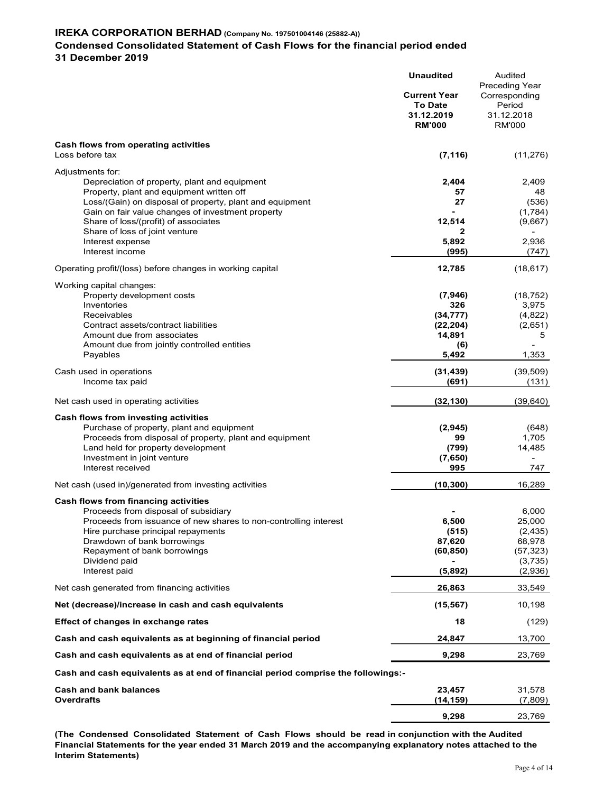## Condensed Consolidated Statement of Cash Flows for the financial period ended

31 December 2019

|                                                                                                               | <b>Unaudited</b><br><b>Current Year</b><br><b>To Date</b><br>31.12.2019 | Audited<br>Preceding Year<br>Corresponding<br>Period<br>31.12.2018 |
|---------------------------------------------------------------------------------------------------------------|-------------------------------------------------------------------------|--------------------------------------------------------------------|
|                                                                                                               | <b>RM'000</b>                                                           | <b>RM'000</b>                                                      |
| Cash flows from operating activities<br>Loss before tax                                                       | (7, 116)                                                                | (11, 276)                                                          |
| Adjustments for:                                                                                              |                                                                         |                                                                    |
| Depreciation of property, plant and equipment                                                                 | 2,404                                                                   | 2,409                                                              |
| Property, plant and equipment written off                                                                     | 57                                                                      | 48                                                                 |
| Loss/(Gain) on disposal of property, plant and equipment<br>Gain on fair value changes of investment property | 27                                                                      | (536)<br>(1,784)                                                   |
| Share of loss/(profit) of associates                                                                          | 12,514                                                                  | (9,667)                                                            |
| Share of loss of joint venture                                                                                |                                                                         |                                                                    |
| Interest expense                                                                                              | 5,892                                                                   | 2,936                                                              |
| Interest income                                                                                               | (995)                                                                   | (747)                                                              |
| Operating profit/(loss) before changes in working capital                                                     | 12,785                                                                  | (18, 617)                                                          |
| Working capital changes:                                                                                      |                                                                         |                                                                    |
| Property development costs<br>Inventories                                                                     | (7, 946)<br>326                                                         | (18, 752)<br>3,975                                                 |
| Receivables                                                                                                   | (34, 777)                                                               | (4,822)                                                            |
| Contract assets/contract liabilities                                                                          | (22, 204)                                                               | (2,651)                                                            |
| Amount due from associates                                                                                    | 14,891                                                                  | 5                                                                  |
| Amount due from jointly controlled entities                                                                   | (6)                                                                     |                                                                    |
| Payables                                                                                                      | 5,492                                                                   | 1,353                                                              |
| Cash used in operations<br>Income tax paid                                                                    | (31, 439)<br>(691)                                                      | (39, 509)<br>(131)                                                 |
| Net cash used in operating activities                                                                         | (32, 130)                                                               | (39, 640)                                                          |
| Cash flows from investing activities                                                                          |                                                                         |                                                                    |
| Purchase of property, plant and equipment                                                                     | (2,945)                                                                 | (648)                                                              |
| Proceeds from disposal of property, plant and equipment                                                       | 99                                                                      | 1,705                                                              |
| Land held for property development                                                                            | (799)                                                                   | 14,485                                                             |
| Investment in joint venture                                                                                   | (7,650)                                                                 |                                                                    |
| Interest received                                                                                             | 995                                                                     | 747                                                                |
| Net cash (used in)/generated from investing activities                                                        | (10, 300)                                                               | 16,289                                                             |
| Cash flows from financing activities                                                                          |                                                                         |                                                                    |
| Proceeds from disposal of subsidiary                                                                          |                                                                         | 6,000                                                              |
| Proceeds from issuance of new shares to non-controlling interest                                              | 6,500                                                                   | 25,000                                                             |
| Hire purchase principal repayments<br>Drawdown of bank borrowings                                             | (515)<br>87,620                                                         | (2, 435)<br>68,978                                                 |
| Repayment of bank borrowings                                                                                  | (60, 850)                                                               | (57, 323)                                                          |
| Dividend paid                                                                                                 |                                                                         | (3,735)                                                            |
| Interest paid                                                                                                 | (5,892)                                                                 | (2,936)                                                            |
| Net cash generated from financing activities                                                                  | 26,863                                                                  | 33,549                                                             |
| Net (decrease)/increase in cash and cash equivalents                                                          | (15, 567)                                                               | 10,198                                                             |
| Effect of changes in exchange rates                                                                           | 18                                                                      | (129)                                                              |
| Cash and cash equivalents as at beginning of financial period                                                 | 24,847                                                                  | 13,700                                                             |
| Cash and cash equivalents as at end of financial period                                                       | 9,298                                                                   | 23,769                                                             |
| Cash and cash equivalents as at end of financial period comprise the followings:-                             |                                                                         |                                                                    |
| <b>Cash and bank balances</b>                                                                                 | 23,457                                                                  | 31,578                                                             |
| <b>Overdrafts</b>                                                                                             | (14, 159)                                                               | (7,809)                                                            |
|                                                                                                               |                                                                         |                                                                    |
|                                                                                                               | 9,298                                                                   | 23,769                                                             |

(The Condensed Consolidated Statement of Cash Flows should be read in conjunction with the Audited Financial Statements for the year ended 31 March 2019 and the accompanying explanatory notes attached to the Interim Statements)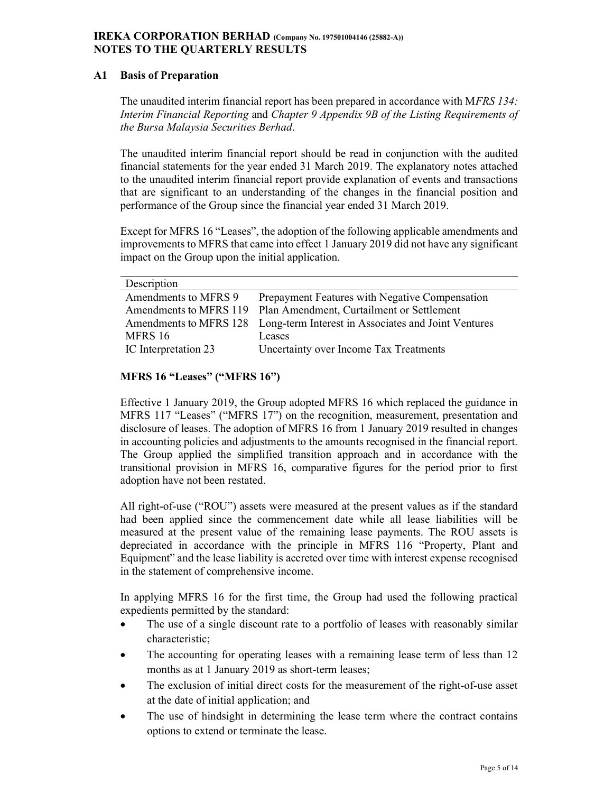## IREKA CORPORATION BERHAD (Company No. 197501004146 (25882-A)) NOTES TO THE QUARTERLY RESULTS

## A1 Basis of Preparation

The unaudited interim financial report has been prepared in accordance with MFRS 134: Interim Financial Reporting and Chapter 9 Appendix 9B of the Listing Requirements of the Bursa Malaysia Securities Berhad.

The unaudited interim financial report should be read in conjunction with the audited financial statements for the year ended 31 March 2019. The explanatory notes attached to the unaudited interim financial report provide explanation of events and transactions that are significant to an understanding of the changes in the financial position and performance of the Group since the financial year ended 31 March 2019.

Except for MFRS 16 "Leases", the adoption of the following applicable amendments and improvements to MFRS that came into effect 1 January 2019 did not have any significant impact on the Group upon the initial application.

| Description          |                                                                            |
|----------------------|----------------------------------------------------------------------------|
| Amendments to MFRS 9 | Prepayment Features with Negative Compensation                             |
|                      | Amendments to MFRS 119 Plan Amendment, Curtailment or Settlement           |
|                      | Amendments to MFRS 128 Long-term Interest in Associates and Joint Ventures |
| MFRS 16              | Leases                                                                     |
| IC Interpretation 23 | Uncertainty over Income Tax Treatments                                     |

## MFRS 16 "Leases" ("MFRS 16")

Effective 1 January 2019, the Group adopted MFRS 16 which replaced the guidance in MFRS 117 "Leases" ("MFRS 17") on the recognition, measurement, presentation and disclosure of leases. The adoption of MFRS 16 from 1 January 2019 resulted in changes in accounting policies and adjustments to the amounts recognised in the financial report. The Group applied the simplified transition approach and in accordance with the transitional provision in MFRS 16, comparative figures for the period prior to first adoption have not been restated.

All right-of-use ("ROU") assets were measured at the present values as if the standard had been applied since the commencement date while all lease liabilities will be measured at the present value of the remaining lease payments. The ROU assets is depreciated in accordance with the principle in MFRS 116 "Property, Plant and Equipment" and the lease liability is accreted over time with interest expense recognised in the statement of comprehensive income.

In applying MFRS 16 for the first time, the Group had used the following practical expedients permitted by the standard:

- The use of a single discount rate to a portfolio of leases with reasonably similar characteristic;
- The accounting for operating leases with a remaining lease term of less than 12 months as at 1 January 2019 as short-term leases;
- The exclusion of initial direct costs for the measurement of the right-of-use asset at the date of initial application; and
- The use of hindsight in determining the lease term where the contract contains options to extend or terminate the lease.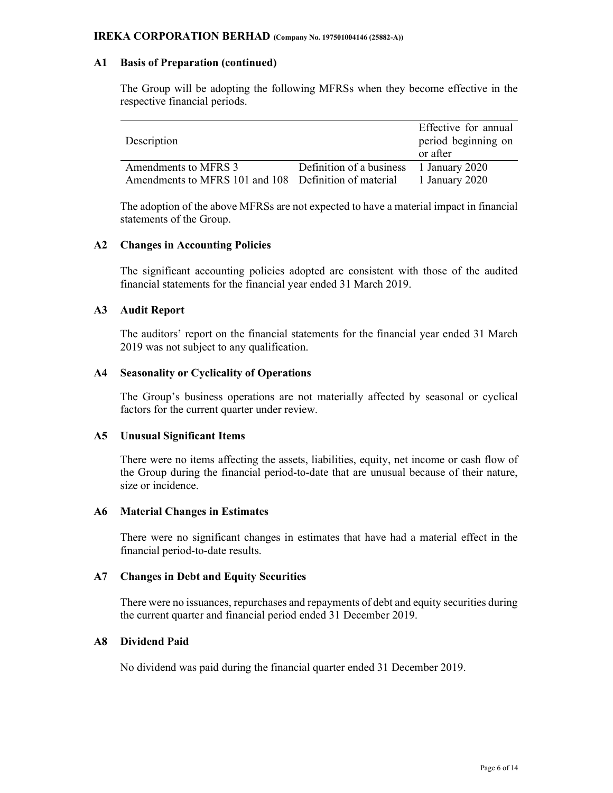## A1 Basis of Preparation (continued)

The Group will be adopting the following MFRSs when they become effective in the respective financial periods.

| Description                                           |                                         | Effective for annual<br>period beginning on<br>or after |
|-------------------------------------------------------|-----------------------------------------|---------------------------------------------------------|
| Amendments to MFRS 3                                  | Definition of a business 1 January 2020 |                                                         |
| Amendments to MFRS 101 and 108 Definition of material |                                         | 1 January 2020                                          |

The adoption of the above MFRSs are not expected to have a material impact in financial statements of the Group.

### A2 Changes in Accounting Policies

The significant accounting policies adopted are consistent with those of the audited financial statements for the financial year ended 31 March 2019.

## A3 Audit Report

The auditors' report on the financial statements for the financial year ended 31 March 2019 was not subject to any qualification.

### A4 Seasonality or Cyclicality of Operations

The Group's business operations are not materially affected by seasonal or cyclical factors for the current quarter under review.

### A5 Unusual Significant Items

There were no items affecting the assets, liabilities, equity, net income or cash flow of the Group during the financial period-to-date that are unusual because of their nature, size or incidence.

## A6 Material Changes in Estimates

There were no significant changes in estimates that have had a material effect in the financial period-to-date results.

### A7 Changes in Debt and Equity Securities

There were no issuances, repurchases and repayments of debt and equity securities during the current quarter and financial period ended 31 December 2019.

### A8 Dividend Paid

No dividend was paid during the financial quarter ended 31 December 2019.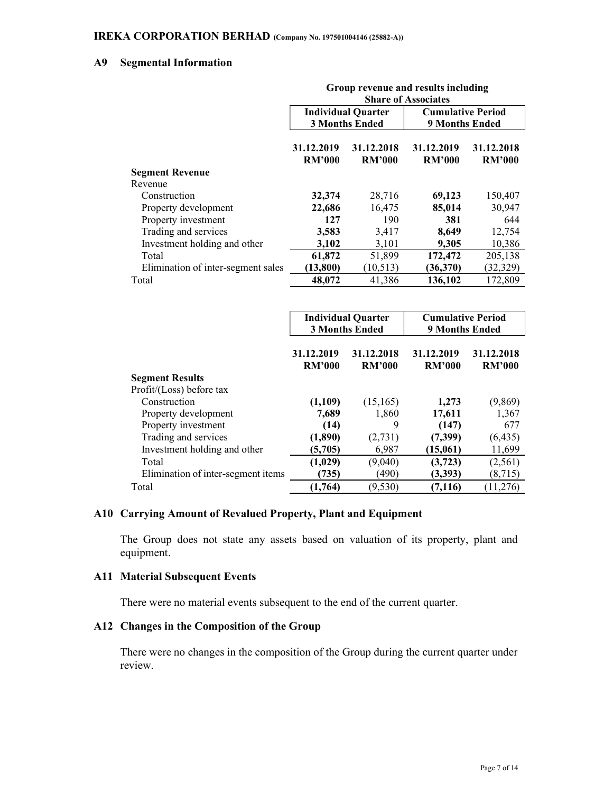## A9 Segmental Information

|                                    | Group revenue and results including<br><b>Share of Associates</b> |                                                    |                                                   |                             |  |  |  |
|------------------------------------|-------------------------------------------------------------------|----------------------------------------------------|---------------------------------------------------|-----------------------------|--|--|--|
|                                    |                                                                   | <b>Individual Quarter</b><br><b>3 Months Ended</b> | <b>Cumulative Period</b><br><b>9 Months Ended</b> |                             |  |  |  |
|                                    | 31.12.2019<br>RM <sup>2</sup> 000                                 | 31.12.2018<br><b>RM'000</b>                        | 31.12.2019<br><b>RM'000</b>                       | 31.12.2018<br><b>RM'000</b> |  |  |  |
| <b>Segment Revenue</b>             |                                                                   |                                                    |                                                   |                             |  |  |  |
| Revenue                            |                                                                   |                                                    |                                                   |                             |  |  |  |
| Construction                       | 32,374                                                            | 28,716                                             | 69,123                                            | 150,407                     |  |  |  |
| Property development               | 22,686                                                            | 16,475                                             | 85,014                                            | 30,947                      |  |  |  |
| Property investment                | 127                                                               | 190                                                | 381                                               | 644                         |  |  |  |
| Trading and services               | 3,583                                                             | 3,417                                              | 8,649                                             | 12,754                      |  |  |  |
| Investment holding and other       | 3,102                                                             | 3,101                                              | 9,305                                             | 10,386                      |  |  |  |
| Total                              | 61,872                                                            | 51,899                                             | 172,472                                           | 205,138                     |  |  |  |
| Elimination of inter-segment sales | (13, 800)                                                         | (10, 513)                                          | (36,370)                                          | (32, 329)                   |  |  |  |
| Total                              | 48,072                                                            | 41,386                                             | 136,102                                           | 172,809                     |  |  |  |

|                                    |                             | <b>Individual Quarter</b><br><b>3 Months Ended</b> | <b>Cumulative Period</b><br><b>9 Months Ended</b> |                             |  |
|------------------------------------|-----------------------------|----------------------------------------------------|---------------------------------------------------|-----------------------------|--|
|                                    | 31.12.2019<br><b>RM'000</b> | 31.12.2018<br><b>RM'000</b>                        | 31.12.2019<br><b>RM'000</b>                       | 31.12.2018<br><b>RM'000</b> |  |
| <b>Segment Results</b>             |                             |                                                    |                                                   |                             |  |
| Profit/(Loss) before tax           |                             |                                                    |                                                   |                             |  |
| Construction                       | (1,109)                     | (15, 165)                                          | 1,273                                             | (9,869)                     |  |
| Property development               | 7,689                       | 1,860                                              | 17,611                                            | 1,367                       |  |
| Property investment                | (14)                        | 9                                                  | (147)                                             | 677                         |  |
| Trading and services               | (1,890)                     | (2,731)                                            | (7,399)                                           | (6, 435)                    |  |
| Investment holding and other       | (5,705)                     | 6,987                                              | (15,061)                                          | 11,699                      |  |
| Total                              | (1,029)                     | (9,040)                                            | (3,723)                                           | (2,561)                     |  |
| Elimination of inter-segment items | (735)                       | (490)                                              | (3,393)                                           | (8, 715)                    |  |
| Total                              | (1,764)                     | (9, 530)                                           | (7,116)                                           | (11,276)                    |  |

## A10 Carrying Amount of Revalued Property, Plant and Equipment

The Group does not state any assets based on valuation of its property, plant and equipment.

### A11 Material Subsequent Events

There were no material events subsequent to the end of the current quarter.

## A12 Changes in the Composition of the Group

There were no changes in the composition of the Group during the current quarter under review.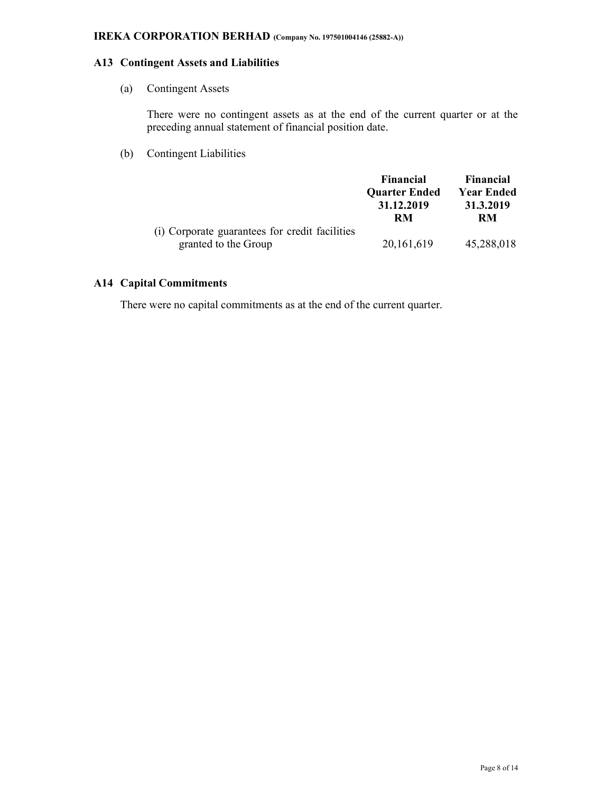## A13 Contingent Assets and Liabilities

(a) Contingent Assets

There were no contingent assets as at the end of the current quarter or at the preceding annual statement of financial position date.

(b) Contingent Liabilities

|                                                | <b>Financial</b>     | <b>Financial</b>  |
|------------------------------------------------|----------------------|-------------------|
|                                                | <b>Quarter Ended</b> | <b>Year Ended</b> |
|                                                | 31.12.2019           | 31.3.2019         |
|                                                | RM                   | RM                |
| (i) Corporate guarantees for credit facilities |                      |                   |
| granted to the Group                           | 20, 161, 619         | 45,288,018        |

## A14 Capital Commitments

There were no capital commitments as at the end of the current quarter.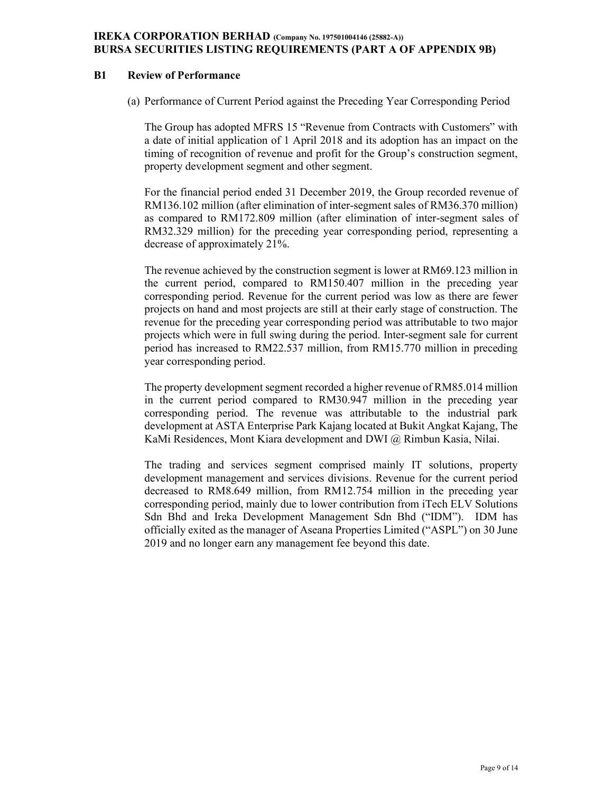## IREKA CORPORATION BERHAD (Company No. 197501004146 (25882-A)) BURSA SECURITIES LISTING REQUIREMENTS (PART A OF APPENDIX 9B)

## B1 Review of Performance

(a) Performance of Current Period against the Preceding Year Corresponding Period

The Group has adopted MFRS 15 "Revenue from Contracts with Customers" with a date of initial application of 1 April 2018 and its adoption has an impact on the timing of recognition of revenue and profit for the Group's construction segment, property development segment and other segment.

For the financial period ended 31 December 2019, the Group recorded revenue of RM136.102 million (after elimination of inter-segment sales of RM36.370 million) as compared to RM172.809 million (after elimination of inter-segment sales of RM32.329 million) for the preceding year corresponding period, representing a decrease of approximately 21%.

The revenue achieved by the construction segment is lower at RM69.123 million in the current period, compared to RM150.407 million in the preceding year corresponding period. Revenue for the current period was low as there are fewer projects on hand and most projects are still at their early stage of construction. The revenue for the preceding year corresponding period was attributable to two major projects which were in full swing during the period. Inter-segment sale for current period has increased to RM22.537 million, from RM15.770 million in preceding year corresponding period.

The property development segment recorded a higher revenue of RM85.014 million in the current period compared to RM30.947 million in the preceding year corresponding period. The revenue was attributable to the industrial park development at ASTA Enterprise Park Kajang located at Bukit Angkat Kajang, The KaMi Residences, Mont Kiara development and DWI @ Rimbun Kasia, Nilai.

The trading and services segment comprised mainly IT solutions, property development management and services divisions. Revenue for the current period decreased to RM8.649 million, from RM12.754 million in the preceding year corresponding period, mainly due to lower contribution from iTech ELV Solutions Sdn Bhd and Ireka Development Management Sdn Bhd ("IDM"). IDM has officially exited as the manager of Aseana Properties Limited ("ASPL") on 30 June 2019 and no longer earn any management fee beyond this date.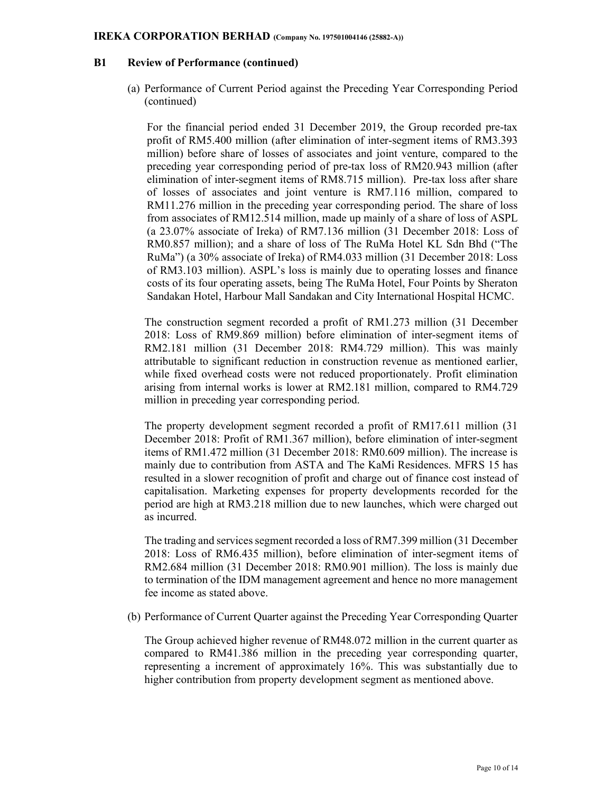### B1 Review of Performance (continued)

(a) Performance of Current Period against the Preceding Year Corresponding Period (continued)

For the financial period ended 31 December 2019, the Group recorded pre-tax profit of RM5.400 million (after elimination of inter-segment items of RM3.393 million) before share of losses of associates and joint venture, compared to the preceding year corresponding period of pre-tax loss of RM20.943 million (after elimination of inter-segment items of RM8.715 million). Pre-tax loss after share of losses of associates and joint venture is RM7.116 million, compared to RM11.276 million in the preceding year corresponding period. The share of loss from associates of RM12.514 million, made up mainly of a share of loss of ASPL (a 23.07% associate of Ireka) of RM7.136 million (31 December 2018: Loss of RM0.857 million); and a share of loss of The RuMa Hotel KL Sdn Bhd ("The RuMa") (a 30% associate of Ireka) of RM4.033 million (31 December 2018: Loss of RM3.103 million). ASPL's loss is mainly due to operating losses and finance costs of its four operating assets, being The RuMa Hotel, Four Points by Sheraton Sandakan Hotel, Harbour Mall Sandakan and City International Hospital HCMC.

The construction segment recorded a profit of RM1.273 million (31 December 2018: Loss of RM9.869 million) before elimination of inter-segment items of RM2.181 million (31 December 2018: RM4.729 million). This was mainly attributable to significant reduction in construction revenue as mentioned earlier, while fixed overhead costs were not reduced proportionately. Profit elimination arising from internal works is lower at RM2.181 million, compared to RM4.729 million in preceding year corresponding period.

The property development segment recorded a profit of RM17.611 million (31 December 2018: Profit of RM1.367 million), before elimination of inter-segment items of RM1.472 million (31 December 2018: RM0.609 million). The increase is mainly due to contribution from ASTA and The KaMi Residences. MFRS 15 has resulted in a slower recognition of profit and charge out of finance cost instead of capitalisation. Marketing expenses for property developments recorded for the period are high at RM3.218 million due to new launches, which were charged out as incurred.

The trading and services segment recorded a loss of RM7.399 million (31 December 2018: Loss of RM6.435 million), before elimination of inter-segment items of RM2.684 million (31 December 2018: RM0.901 million). The loss is mainly due to termination of the IDM management agreement and hence no more management fee income as stated above.

(b) Performance of Current Quarter against the Preceding Year Corresponding Quarter

The Group achieved higher revenue of RM48.072 million in the current quarter as compared to RM41.386 million in the preceding year corresponding quarter, representing a increment of approximately 16%. This was substantially due to higher contribution from property development segment as mentioned above.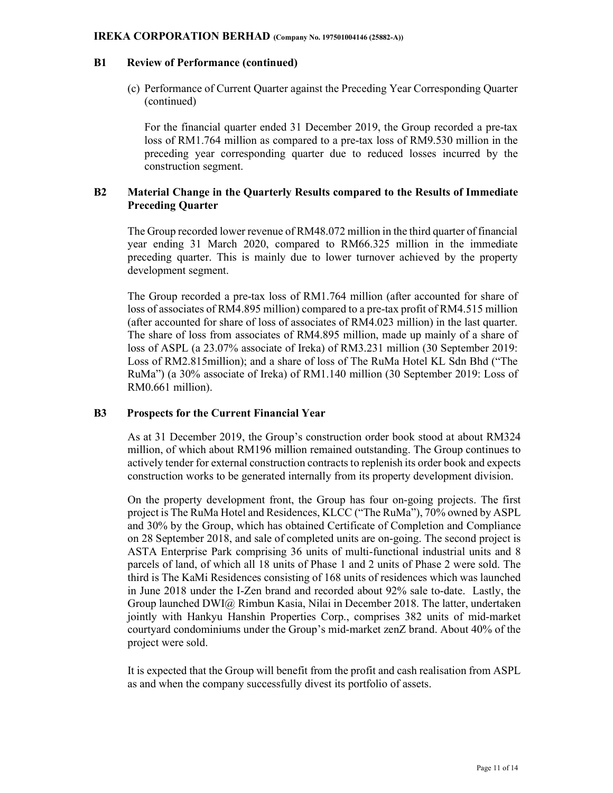### B1 Review of Performance (continued)

(c) Performance of Current Quarter against the Preceding Year Corresponding Quarter (continued)

For the financial quarter ended 31 December 2019, the Group recorded a pre-tax loss of RM1.764 million as compared to a pre-tax loss of RM9.530 million in the preceding year corresponding quarter due to reduced losses incurred by the construction segment.

## B2 Material Change in the Quarterly Results compared to the Results of Immediate Preceding Quarter

The Group recorded lower revenue of RM48.072 million in the third quarter of financial year ending 31 March 2020, compared to RM66.325 million in the immediate preceding quarter. This is mainly due to lower turnover achieved by the property development segment.

The Group recorded a pre-tax loss of RM1.764 million (after accounted for share of loss of associates of RM4.895 million) compared to a pre-tax profit of RM4.515 million (after accounted for share of loss of associates of RM4.023 million) in the last quarter. The share of loss from associates of RM4.895 million, made up mainly of a share of loss of ASPL (a 23.07% associate of Ireka) of RM3.231 million (30 September 2019: Loss of RM2.815million); and a share of loss of The RuMa Hotel KL Sdn Bhd ("The RuMa") (a 30% associate of Ireka) of RM1.140 million (30 September 2019: Loss of RM0.661 million).

### B3 Prospects for the Current Financial Year

As at 31 December 2019, the Group's construction order book stood at about RM324 million, of which about RM196 million remained outstanding. The Group continues to actively tender for external construction contracts to replenish its order book and expects construction works to be generated internally from its property development division.

On the property development front, the Group has four on-going projects. The first project is The RuMa Hotel and Residences, KLCC ("The RuMa"), 70% owned by ASPL and 30% by the Group, which has obtained Certificate of Completion and Compliance on 28 September 2018, and sale of completed units are on-going. The second project is ASTA Enterprise Park comprising 36 units of multi-functional industrial units and 8 parcels of land, of which all 18 units of Phase 1 and 2 units of Phase 2 were sold. The third is The KaMi Residences consisting of 168 units of residences which was launched in June 2018 under the I-Zen brand and recorded about 92% sale to-date. Lastly, the Group launched DWI@ Rimbun Kasia, Nilai in December 2018. The latter, undertaken jointly with Hankyu Hanshin Properties Corp., comprises 382 units of mid-market courtyard condominiums under the Group's mid-market zenZ brand. About 40% of the project were sold.

It is expected that the Group will benefit from the profit and cash realisation from ASPL as and when the company successfully divest its portfolio of assets.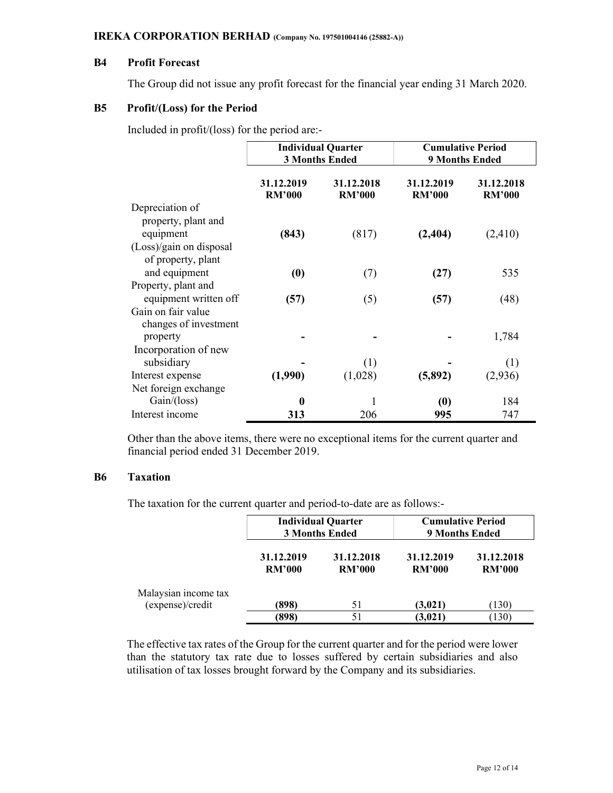## B4 Profit Forecast

The Group did not issue any profit forecast for the financial year ending 31 March 2020.

### B5 Profit/(Loss) for the Period

Included in profit/(loss) for the period are:-

|                         | <b>Individual Quarter</b><br><b>3 Months Ended</b> |                             | <b>Cumulative Period</b><br><b>9 Months Ended</b> |                             |
|-------------------------|----------------------------------------------------|-----------------------------|---------------------------------------------------|-----------------------------|
|                         | 31.12.2019<br><b>RM'000</b>                        | 31.12.2018<br><b>RM'000</b> | 31.12.2019<br><b>RM'000</b>                       | 31.12.2018<br><b>RM'000</b> |
| Depreciation of         |                                                    |                             |                                                   |                             |
| property, plant and     |                                                    |                             |                                                   |                             |
| equipment               | (843)                                              | (817)                       | (2, 404)                                          | (2, 410)                    |
| (Loss)/gain on disposal |                                                    |                             |                                                   |                             |
| of property, plant      |                                                    |                             |                                                   |                             |
| and equipment           | (0)                                                | (7)                         | (27)                                              | 535                         |
| Property, plant and     |                                                    |                             |                                                   |                             |
| equipment written off   | (57)                                               | (5)                         | (57)                                              | (48)                        |
| Gain on fair value      |                                                    |                             |                                                   |                             |
| changes of investment   |                                                    |                             |                                                   |                             |
| property                |                                                    |                             |                                                   | 1,784                       |
| Incorporation of new    |                                                    |                             |                                                   |                             |
| subsidiary              |                                                    | (1)                         |                                                   | (1)                         |
| Interest expense        | (1,990)                                            | (1,028)                     | (5,892)                                           | (2,936)                     |
| Net foreign exchange    |                                                    |                             |                                                   |                             |
| Gain/(loss)             | 0                                                  |                             | (0)                                               | 184                         |
| Interest income         | 313                                                | 206                         | 995                                               | 747                         |

Other than the above items, there were no exceptional items for the current quarter and financial period ended 31 December 2019.

### B6 Taxation

The taxation for the current quarter and period-to-date are as follows:-

|                                          | <b>Individual Quarter</b><br><b>3 Months Ended</b> |                             | <b>Cumulative Period</b><br><b>9 Months Ended</b> |                             |
|------------------------------------------|----------------------------------------------------|-----------------------------|---------------------------------------------------|-----------------------------|
|                                          | 31.12.2019<br><b>RM'000</b>                        | 31.12.2018<br><b>RM'000</b> | 31.12.2019<br><b>RM'000</b>                       | 31.12.2018<br><b>RM'000</b> |
| Malaysian income tax<br>(expense)/credit | (898)                                              | 51                          | (3,021)                                           | (130)                       |
|                                          | (898)                                              | 51                          | (3,021)                                           | (130)                       |

The effective tax rates of the Group for the current quarter and for the period were lower than the statutory tax rate due to losses suffered by certain subsidiaries and also utilisation of tax losses brought forward by the Company and its subsidiaries.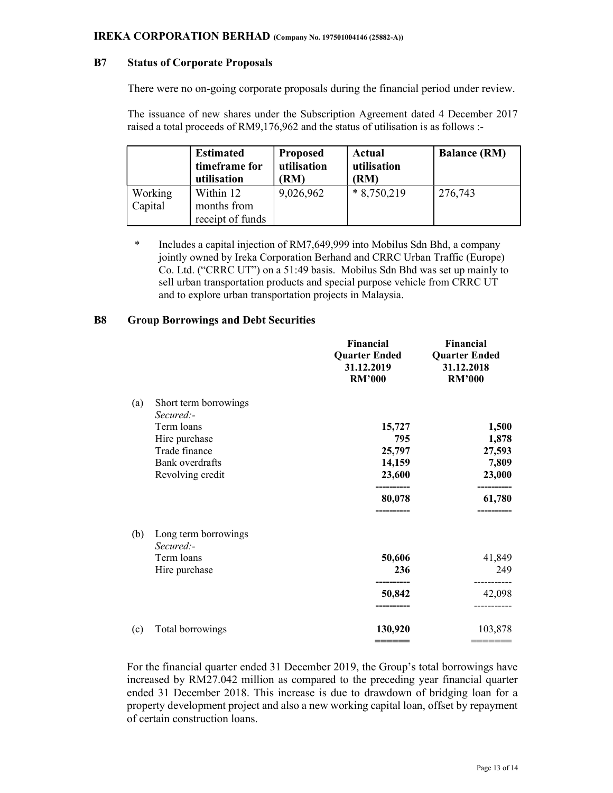## B7 Status of Corporate Proposals

There were no on-going corporate proposals during the financial period under review.

The issuance of new shares under the Subscription Agreement dated 4 December 2017 raised a total proceeds of RM9,176,962 and the status of utilisation is as follows :-

|                    | <b>Estimated</b><br>timeframe for<br>utilisation | <b>Proposed</b><br>utilisation<br>(RM) | Actual<br>utilisation<br>(RM) | <b>Balance (RM)</b> |
|--------------------|--------------------------------------------------|----------------------------------------|-------------------------------|---------------------|
| Working<br>Capital | Within 12<br>months from<br>receipt of funds     | 9,026,962                              | $*8,750,219$                  | 276,743             |

 \* Includes a capital injection of RM7,649,999 into Mobilus Sdn Bhd, a company jointly owned by Ireka Corporation Berhand and CRRC Urban Traffic (Europe) Co. Ltd. ("CRRC UT") on a 51:49 basis. Mobilus Sdn Bhd was set up mainly to sell urban transportation products and special purpose vehicle from CRRC UT and to explore urban transportation projects in Malaysia.

### B8 Group Borrowings and Debt Securities

|     |                       | <b>Financial</b><br><b>Quarter Ended</b><br>31.12.2019<br><b>RM'000</b> | <b>Financial</b><br><b>Quarter Ended</b><br>31.12.2018<br><b>RM'000</b> |  |
|-----|-----------------------|-------------------------------------------------------------------------|-------------------------------------------------------------------------|--|
| (a) | Short term borrowings | 15,727                                                                  | 1,500                                                                   |  |
|     | Secured:-             | 795                                                                     | 1,878                                                                   |  |
|     | Term loans            | 25,797                                                                  | 27,593                                                                  |  |
|     | Hire purchase         | 14,159                                                                  | 7,809                                                                   |  |
|     | Trade finance         | 23,600                                                                  | 23,000                                                                  |  |
|     | Bank overdrafts       | -------                                                                 | 61,780                                                                  |  |
|     | Revolving credit      | 80,078                                                                  | ---------                                                               |  |
| (b) | Long term borrowings  | 50,606                                                                  | 41,849                                                                  |  |
|     | $Secure$ $:$          | 236                                                                     | 249                                                                     |  |
|     | Term loans            | . _________                                                             | ---------                                                               |  |
|     | Hire purchase         | 50,842                                                                  | 42,098                                                                  |  |
| (c) | Total borrowings      | 130,920<br>======                                                       | 103,878                                                                 |  |

For the financial quarter ended 31 December 2019, the Group's total borrowings have increased by RM27.042 million as compared to the preceding year financial quarter ended 31 December 2018. This increase is due to drawdown of bridging loan for a property development project and also a new working capital loan, offset by repayment of certain construction loans.